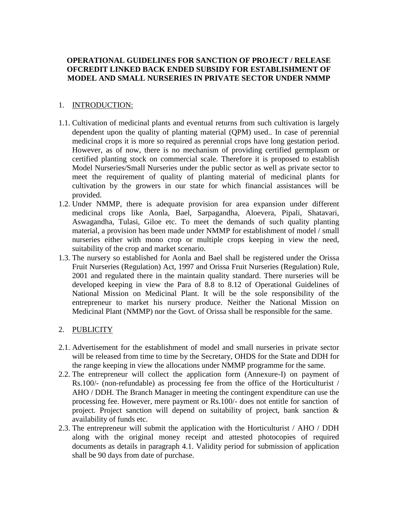## **OPERATIONAL GUIDELINES FOR SANCTION OF PROJECT / RELEASE OFCREDIT LINKED BACK ENDED SUBSIDY FOR ESTABLISHMENT OF MODEL AND SMALL NURSERIES IN PRIVATE SECTOR UNDER NMMP**

### 1. INTRODUCTION:

- 1.1. Cultivation of medicinal plants and eventual returns from such cultivation is largely dependent upon the quality of planting material (QPM) used.. In case of perennial medicinal crops it is more so required as perennial crops have long gestation period. However, as of now, there is no mechanism of providing certified germplasm or certified planting stock on commercial scale. Therefore it is proposed to establish Model Nurseries/Small Nurseries under the public sector as well as private sector to meet the requirement of quality of planting material of medicinal plants for cultivation by the growers in our state for which financial assistances will be provided.
- 1.2. Under NMMP, there is adequate provision for area expansion under different medicinal crops like Aonla, Bael, Sarpagandha, Aloevera, Pipali, Shatavari, Aswagandha, Tulasi, Giloe etc. To meet the demands of such quality planting material, a provision has been made under NMMP for establishment of model / small nurseries either with mono crop or multiple crops keeping in view the need, suitability of the crop and market scenario.
- 1.3. The nursery so established for Aonla and Bael shall be registered under the Orissa Fruit Nurseries (Regulation) Act, 1997 and Orissa Fruit Nurseries (Regulation) Rule, 2001 and regulated there in the maintain quality standard. There nurseries will be developed keeping in view the Para of 8.8 to 8.12 of Operational Guidelines of National Mission on Medicinal Plant. It will be the sole responsibility of the entrepreneur to market his nursery produce. Neither the National Mission on Medicinal Plant (NMMP) nor the Govt. of Orissa shall be responsible for the same.

## 2. PUBLICITY

- 2.1. Advertisement for the establishment of model and small nurseries in private sector will be released from time to time by the Secretary, OHDS for the State and DDH for the range keeping in view the allocations under NMMP programme for the same.
- 2.2. The entrepreneur will collect the application form (Annexure-I) on payment of Rs.100/- (non-refundable) as processing fee from the office of the Horticulturist / AHO / DDH. The Branch Manager in meeting the contingent expenditure can use the processing fee. However, mere payment or Rs.100/- does not entitle for sanction of project. Project sanction will depend on suitability of project, bank sanction & availability of funds etc.
- 2.3. The entrepreneur will submit the application with the Horticulturist / AHO / DDH along with the original money receipt and attested photocopies of required documents as details in paragraph 4.1. Validity period for submission of application shall be 90 days from date of purchase.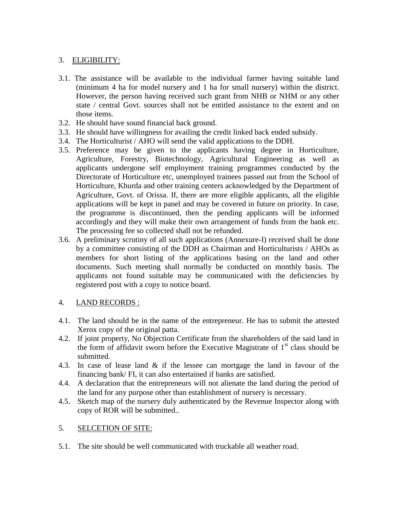## 3. ELIGIBILITY:

- 3.1. The assistance will be available to the individual farmer having suitable land (minimum 4 ha for model nursery and 1 ha for small nursery) within the district. However, the person having received such grant from NHB or NHM or any other state / central Govt. sources shall not be entitled assistance to the extent and on those items.
- 3.2. He should have sound financial back ground.
- 3.3. He should have willingness for availing the credit linked back ended subsidy.
- 3.4. The Horticulturist / AHO will send the valid applications to the DDH.
- 3.5. Preference may be given to the applicants having degree in Horticulture, Agriculture, Forestry, Biotechnology, Agricultural Engineering as well as applicants undergone self employment training programmes conducted by the Directorate of Horticulture etc, unemployed trainees passed out from the School of Horticulture, Khurda and other training centers acknowledged by the Department of Agriculture, Govt. of Orissa. If, there are more eligible applicants, all the eligible applications will be kept in panel and may be covered in future on priority. In case, the programme is discontinued, then the pending applicants will be informed accordingly and they will make their own arrangement of funds from the bank etc. The processing fee so collected shall not be refunded.
- 3.6. A preliminary scrutiny of all such applications (Annexure-I) received shall be done by a committee consisting of the DDH as Chairman and Horticulturists / AHOs as members for short listing of the applications basing on the land and other documents. Such meeting shall normally be conducted on monthly basis. The applicants not found suitable may be communicated with the deficiencies by registered post with a copy to notice board.

## 4. LAND RECORDS :

- 4.1. The land should be in the name of the entrepreneur. He has to submit the attested Xerox copy of the original patta.
- 4.2. If joint property, No Objection Certificate from the shareholders of the said land in the form of affidavit sworn before the Executive Magistrate of  $1<sup>st</sup>$  class should be submitted.
- 4.3. In case of lease land & if the lessee can mortgage the land in favour of the financing bank/ FI, it can also entertained if banks are satisfied.
- 4.4. A declaration that the entrepreneurs will not alienate the land during the period of the land for any purpose other than establishment of nursery is necessary.
- 4.5. Sketch map of the nursery duly authenticated by the Revenue Inspector along with copy of ROR will be submitted..

#### 5. SELCETION OF SITE:

5.1. The site should be well communicated with truckable all weather road.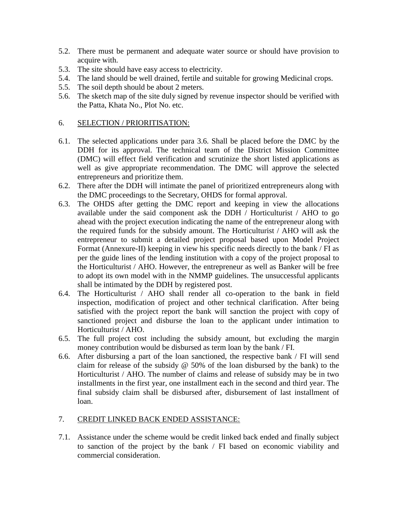- 5.2. There must be permanent and adequate water source or should have provision to acquire with.
- 5.3. The site should have easy access to electricity.
- 5.4. The land should be well drained, fertile and suitable for growing Medicinal crops.
- 5.5. The soil depth should be about 2 meters.
- 5.6. The sketch map of the site duly signed by revenue inspector should be verified with the Patta, Khata No., Plot No. etc.

### 6. SELECTION / PRIORITISATION:

- 6.1. The selected applications under para 3.6. Shall be placed before the DMC by the DDH for its approval. The technical team of the District Mission Committee (DMC) will effect field verification and scrutinize the short listed applications as well as give appropriate recommendation. The DMC will approve the selected entrepreneurs and prioritize them.
- 6.2. There after the DDH will intimate the panel of prioritized entrepreneurs along with the DMC proceedings to the Secretary, OHDS for formal approval.
- 6.3. The OHDS after getting the DMC report and keeping in view the allocations available under the said component ask the DDH / Horticulturist / AHO to go ahead with the project execution indicating the name of the entrepreneur along with the required funds for the subsidy amount. The Horticulturist / AHO will ask the entrepreneur to submit a detailed project proposal based upon Model Project Format (Annexure-II) keeping in view his specific needs directly to the bank / FI as per the guide lines of the lending institution with a copy of the project proposal to the Horticulturist / AHO. However, the entrepreneur as well as Banker will be free to adopt its own model with in the NMMP guidelines. The unsuccessful applicants shall be intimated by the DDH by registered post.
- 6.4. The Horticulturist / AHO shall render all co-operation to the bank in field inspection, modification of project and other technical clarification. After being satisfied with the project report the bank will sanction the project with copy of sanctioned project and disburse the loan to the applicant under intimation to Horticulturist / AHO.
- 6.5. The full project cost including the subsidy amount, but excluding the margin money contribution would be disbursed as term loan by the bank / FI.
- 6.6. After disbursing a part of the loan sanctioned, the respective bank / FI will send claim for release of the subsidy  $\omega$  50% of the loan disbursed by the bank) to the Horticulturist / AHO. The number of claims and release of subsidy may be in two installments in the first year, one installment each in the second and third year. The final subsidy claim shall be disbursed after, disbursement of last installment of loan.

#### 7. CREDIT LINKED BACK ENDED ASSISTANCE:

7.1. Assistance under the scheme would be credit linked back ended and finally subject to sanction of the project by the bank / FI based on economic viability and commercial consideration.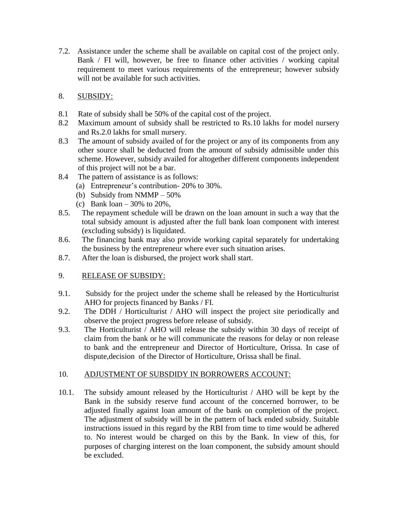7.2. Assistance under the scheme shall be available on capital cost of the project only. Bank / FI will, however, be free to finance other activities / working capital requirement to meet various requirements of the entrepreneur; however subsidy will not be available for such activities.

# 8. SUBSIDY:

- 8.1 Rate of subsidy shall be 50% of the capital cost of the project.
- 8.2 Maximum amount of subsidy shall be restricted to Rs.10 lakhs for model nursery and Rs.2.0 lakhs for small nursery.
- 8.3 The amount of subsidy availed of for the project or any of its components from any other source shall be deducted from the amount of subsidy admissible under this scheme. However, subsidy availed for altogether different components independent of this project will not be a bar.
- 8.4 The pattern of assistance is as follows:
	- (a) Entrepreneur's contribution- 20% to 30%.
	- (b) Subsidy from NMMP 50%
	- (c) Bank loan 30% to 20%,
- 8.5. The repayment schedule will be drawn on the loan amount in such a way that the total subsidy amount is adjusted after the full bank loan component with interest (excluding subsidy) is liquidated.
- 8.6. The financing bank may also provide working capital separately for undertaking the business by the entrepreneur where ever such situation arises.
- 8.7. After the loan is disbursed, the project work shall start.

# 9. RELEASE OF SUBSIDY:

- 9.1. Subsidy for the project under the scheme shall be released by the Horticulturist AHO for projects financed by Banks / FI.
- 9.2. The DDH / Horticulturist / AHO will inspect the project site periodically and observe the project progress before release of subsidy.
- 9.3. The Horticulturist / AHO will release the subsidy within 30 days of receipt of claim from the bank or he will communicate the reasons for delay or non release to bank and the entrepreneur and Director of Horticulture, Orissa. In case of dispute,decision of the Director of Horticulture, Orissa shall be final.

## 10. ADJUSTMENT OF SUBSDIDY IN BORROWERS ACCOUNT:

10.1. The subsidy amount released by the Horticulturist / AHO will be kept by the Bank in the subsidy reserve fund account of the concerned borrower, to be adjusted finally against loan amount of the bank on completion of the project. The adjustment of subsidy will be in the pattern of back ended subsidy. Suitable instructions issued in this regard by the RBI from time to time would be adhered to. No interest would be charged on this by the Bank. In view of this, for purposes of charging interest on the loan component, the subsidy amount should be excluded.